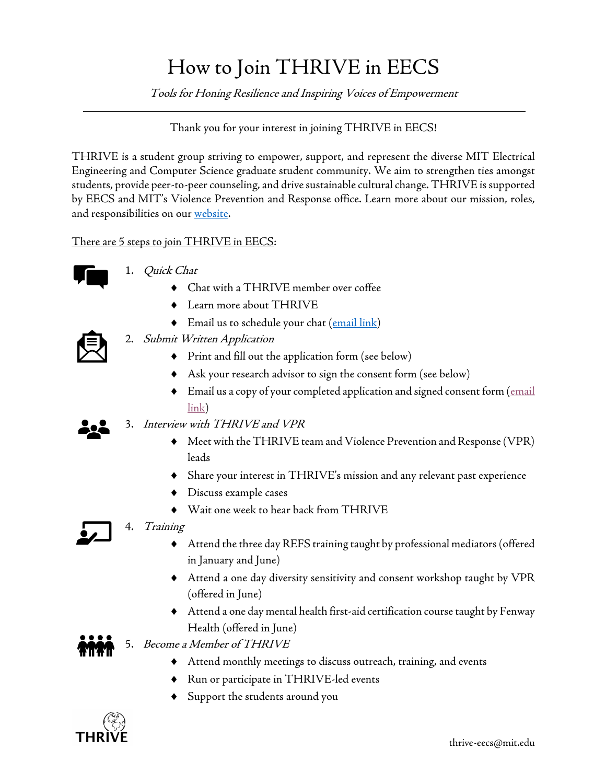## How to Join THRIVE in EECS

Tools for Honing Resilience and Inspiring Voices of Empowerment

## Thank you for your interest in joining THRIVE in EECS!

THRIVE is a student group striving to empower, support, and represent the diverse MIT Electrical Engineering and Computer Science graduate student community. We aim to strengthen ties amongst students, provide peer-to-peer counseling, and drivesustainable cultural change. THRIVE is supported by EECS and MIT's Violence Prevention and Response office. Learn more about our mission, roles, and responsibilities on our website.

There are 5 steps to join THRIVE in EECS:



- 1. Quick Chat
	- Chat with a THRIVE member over coffee
	- $\bullet$  Learn more about THRIVE
	- $\blacklozenge$  Email us to schedule your chat (email link)
- 2. Submit Written Application
	- ¨ Print and fill out the application form (see below)
	- $\blacklozenge$  Ask your research advisor to sign the consent form (see below)
	- $\blacklozenge$  Email us a copy of your completed application and signed consent form ( $\frac{\text{email}}{\text{final}}$ link)
- 3. Interview with THRIVE and VPR
	- ¨ Meet with the THRIVE team and Violence Prevention and Response (VPR) leads
	- Share your interest in THRIVE's mission and any relevant past experience
	- $\blacklozenge$  Discuss example cases
	- $\blacklozenge$  Wait one week to hear back from THRIVE

4. Training

- $\blacklozenge$  Attend the three day REFS training taught by professional mediators (offered in January and June)
- ◆ Attend a one day diversity sensitivity and consent workshop taught by VPR (offered in June)
- ¨ Attend a one day mental health first-aid certification course taught by Fenway Health (offered in June)
- 5. Become a Member of THRIVE
	- ¨ Attend monthly meetings to discuss outreach, training, and events
	- ◆ Run or participate in THRIVE-led events
	- ¨ Support the students around you

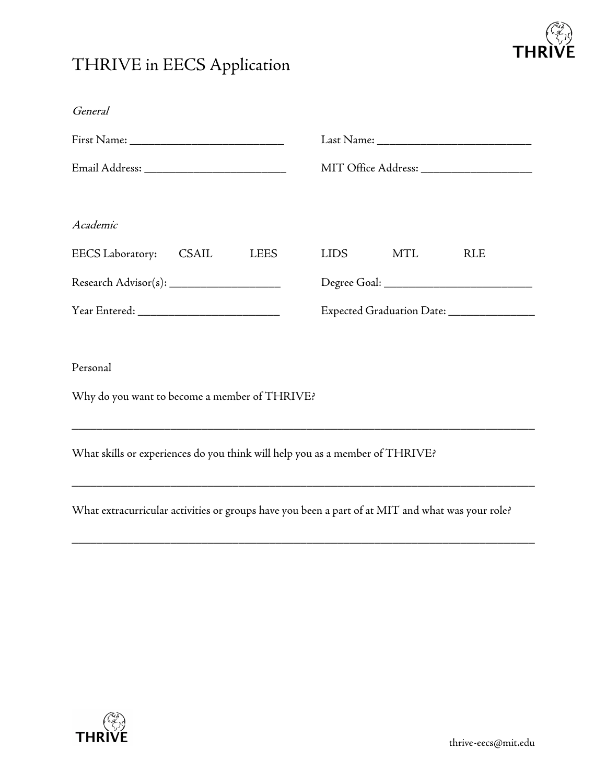

## THRIVE in EECS Application

| General                                                                                          |                                             |
|--------------------------------------------------------------------------------------------------|---------------------------------------------|
|                                                                                                  |                                             |
|                                                                                                  | MIT Office Address: _______________________ |
| Academic                                                                                         |                                             |
| <b>EECS</b> Laboratory:<br>CSAIL<br><b>LEES</b>                                                  | MTL<br>LIDS<br><b>RLE</b>                   |
|                                                                                                  |                                             |
|                                                                                                  | Expected Graduation Date: _______________   |
|                                                                                                  |                                             |
| Personal                                                                                         |                                             |
| Why do you want to become a member of THRIVE?                                                    |                                             |
| ,我们也不能在这里的时候,我们也不能在这里的时候,我们也不能会在这里的时候,我们也不能会在这里的时候,我们也不能会在这里的时候,我们也不能会在这里的时候,我们也不                |                                             |
| What skills or experiences do you think will help you as a member of THRIVE?                     |                                             |
| What extracurricular activities or groups have you been a part of at MIT and what was your role? |                                             |
|                                                                                                  |                                             |